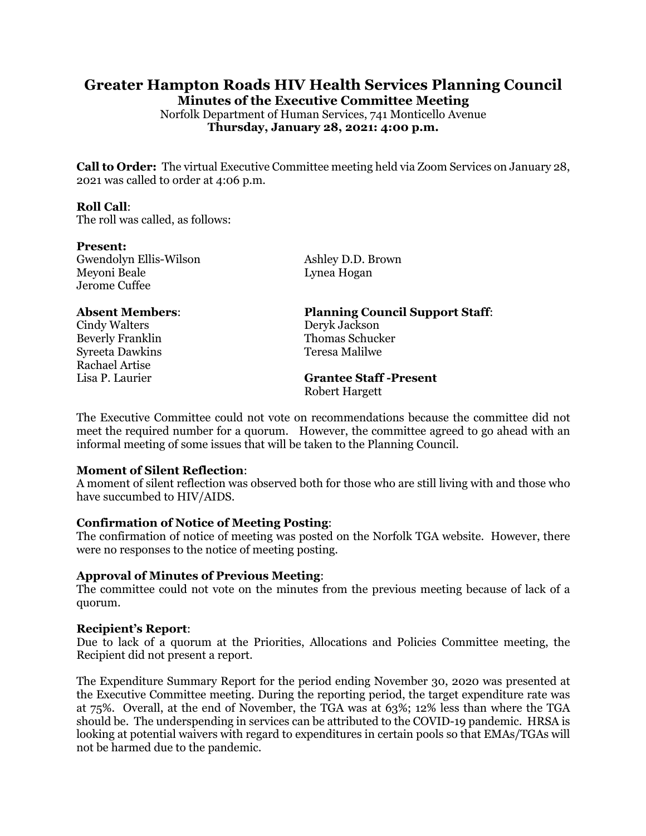# **Greater Hampton Roads HIV Health Services Planning Council**

**Minutes of the Executive Committee Meeting**

Norfolk Department of Human Services, 741 Monticello Avenue **Thursday, January 28, 2021: 4:00 p.m.**

**Call to Order:** The virtual Executive Committee meeting held via Zoom Services on January 28, 2021 was called to order at 4:06 p.m.

#### **Roll Call**:

The roll was called, as follows:

#### **Present:**

Gwendolyn Ellis-Wilson Ashley D.D. Brown Meyoni Beale Lynea Hogan Jerome Cuffee

Cindy Walters Deryk Jackson Syreeta Dawkins Teresa Malilwe Rachael Artise

# **Absent Members**: **Planning Council Support Staff**:

Beverly Franklin Thomas Schucker

### **Grantee Staff -Present** Robert Hargett

The Executive Committee could not vote on recommendations because the committee did not meet the required number for a quorum. However, the committee agreed to go ahead with an informal meeting of some issues that will be taken to the Planning Council.

### **Moment of Silent Reflection**:

A moment of silent reflection was observed both for those who are still living with and those who have succumbed to HIV/AIDS.

### **Confirmation of Notice of Meeting Posting**:

The confirmation of notice of meeting was posted on the Norfolk TGA website. However, there were no responses to the notice of meeting posting.

### **Approval of Minutes of Previous Meeting**:

The committee could not vote on the minutes from the previous meeting because of lack of a quorum.

### **Recipient's Report**:

Due to lack of a quorum at the Priorities, Allocations and Policies Committee meeting, the Recipient did not present a report.

The Expenditure Summary Report for the period ending November 30, 2020 was presented at the Executive Committee meeting. During the reporting period, the target expenditure rate was at 75%. Overall, at the end of November, the TGA was at 63%; 12% less than where the TGA should be. The underspending in services can be attributed to the COVID-19 pandemic. HRSA is looking at potential waivers with regard to expenditures in certain pools so that EMAs/TGAs will not be harmed due to the pandemic.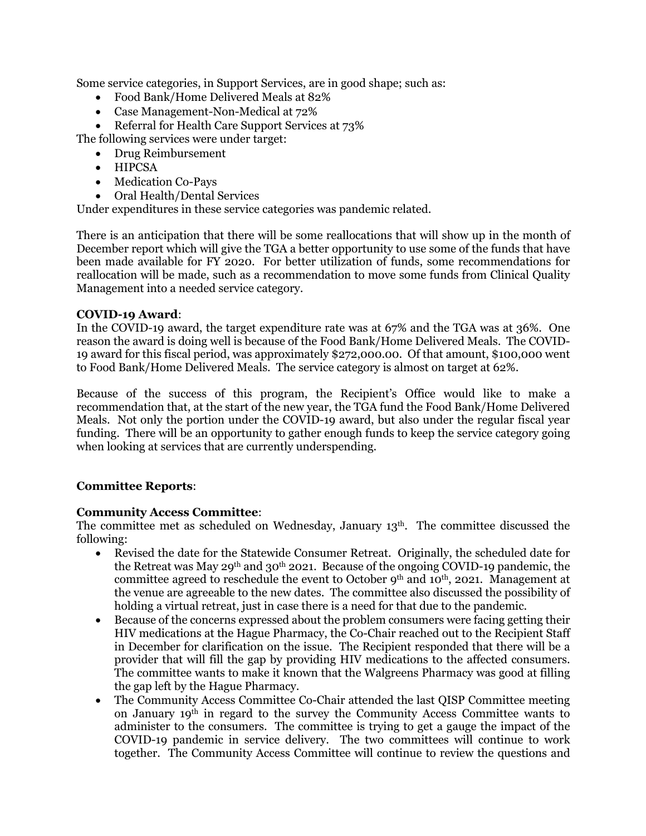Some service categories, in Support Services, are in good shape; such as:

- Food Bank/Home Delivered Meals at 82%
- Case Management-Non-Medical at 72%

• Referral for Health Care Support Services at 73% The following services were under target:

- Drug Reimbursement
- HIPCSA
- Medication Co-Pays
- Oral Health/Dental Services

Under expenditures in these service categories was pandemic related.

There is an anticipation that there will be some reallocations that will show up in the month of December report which will give the TGA a better opportunity to use some of the funds that have been made available for FY 2020. For better utilization of funds, some recommendations for reallocation will be made, such as a recommendation to move some funds from Clinical Quality Management into a needed service category.

# **COVID-19 Award**:

In the COVID-19 award, the target expenditure rate was at 67% and the TGA was at 36%. One reason the award is doing well is because of the Food Bank/Home Delivered Meals. The COVID-19 award for this fiscal period, was approximately \$272,000.00. Of that amount, \$100,000 went to Food Bank/Home Delivered Meals. The service category is almost on target at 62%.

Because of the success of this program, the Recipient's Office would like to make a recommendation that, at the start of the new year, the TGA fund the Food Bank/Home Delivered Meals. Not only the portion under the COVID-19 award, but also under the regular fiscal year funding. There will be an opportunity to gather enough funds to keep the service category going when looking at services that are currently underspending.

# **Committee Reports**:

# **Community Access Committee**:

The committee met as scheduled on Wednesday, January 13th. The committee discussed the following:

- Revised the date for the Statewide Consumer Retreat. Originally, the scheduled date for the Retreat was May 29<sup>th</sup> and 30<sup>th</sup> 2021. Because of the ongoing COVID-19 pandemic, the committee agreed to reschedule the event to October 9<sup>th</sup> and 10<sup>th</sup>, 2021. Management at the venue are agreeable to the new dates. The committee also discussed the possibility of holding a virtual retreat, just in case there is a need for that due to the pandemic.
- Because of the concerns expressed about the problem consumers were facing getting their HIV medications at the Hague Pharmacy, the Co-Chair reached out to the Recipient Staff in December for clarification on the issue. The Recipient responded that there will be a provider that will fill the gap by providing HIV medications to the affected consumers. The committee wants to make it known that the Walgreens Pharmacy was good at filling the gap left by the Hague Pharmacy.
- The Community Access Committee Co-Chair attended the last QISP Committee meeting on January 19th in regard to the survey the Community Access Committee wants to administer to the consumers. The committee is trying to get a gauge the impact of the COVID-19 pandemic in service delivery. The two committees will continue to work together. The Community Access Committee will continue to review the questions and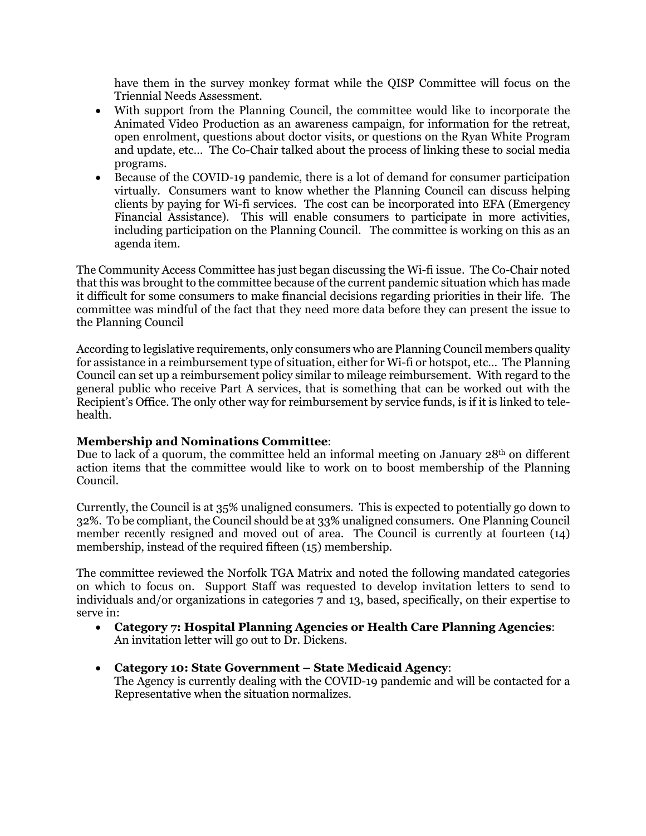have them in the survey monkey format while the QISP Committee will focus on the Triennial Needs Assessment.

- With support from the Planning Council, the committee would like to incorporate the Animated Video Production as an awareness campaign, for information for the retreat, open enrolment, questions about doctor visits, or questions on the Ryan White Program and update, etc… The Co-Chair talked about the process of linking these to social media programs.
- Because of the COVID-19 pandemic, there is a lot of demand for consumer participation virtually. Consumers want to know whether the Planning Council can discuss helping clients by paying for Wi-fi services. The cost can be incorporated into EFA (Emergency Financial Assistance). This will enable consumers to participate in more activities, including participation on the Planning Council. The committee is working on this as an agenda item.

The Community Access Committee has just began discussing the Wi-fi issue. The Co-Chair noted that this was brought to the committee because of the current pandemic situation which has made it difficult for some consumers to make financial decisions regarding priorities in their life. The committee was mindful of the fact that they need more data before they can present the issue to the Planning Council

According to legislative requirements, only consumers who are Planning Council members quality for assistance in a reimbursement type of situation, either for Wi-fi or hotspot, etc… The Planning Council can set up a reimbursement policy similar to mileage reimbursement. With regard to the general public who receive Part A services, that is something that can be worked out with the Recipient's Office. The only other way for reimbursement by service funds, is if it is linked to telehealth.

# **Membership and Nominations Committee**:

Due to lack of a quorum, the committee held an informal meeting on January  $28<sup>th</sup>$  on different action items that the committee would like to work on to boost membership of the Planning Council.

Currently, the Council is at 35% unaligned consumers. This is expected to potentially go down to 32%. To be compliant, the Council should be at 33% unaligned consumers. One Planning Council member recently resigned and moved out of area. The Council is currently at fourteen (14) membership, instead of the required fifteen (15) membership.

The committee reviewed the Norfolk TGA Matrix and noted the following mandated categories on which to focus on. Support Staff was requested to develop invitation letters to send to individuals and/or organizations in categories 7 and 13, based, specifically, on their expertise to serve in:

- **Category 7: Hospital Planning Agencies or Health Care Planning Agencies**: An invitation letter will go out to Dr. Dickens.
- **Category 10: State Government – State Medicaid Agency**: The Agency is currently dealing with the COVID-19 pandemic and will be contacted for a Representative when the situation normalizes.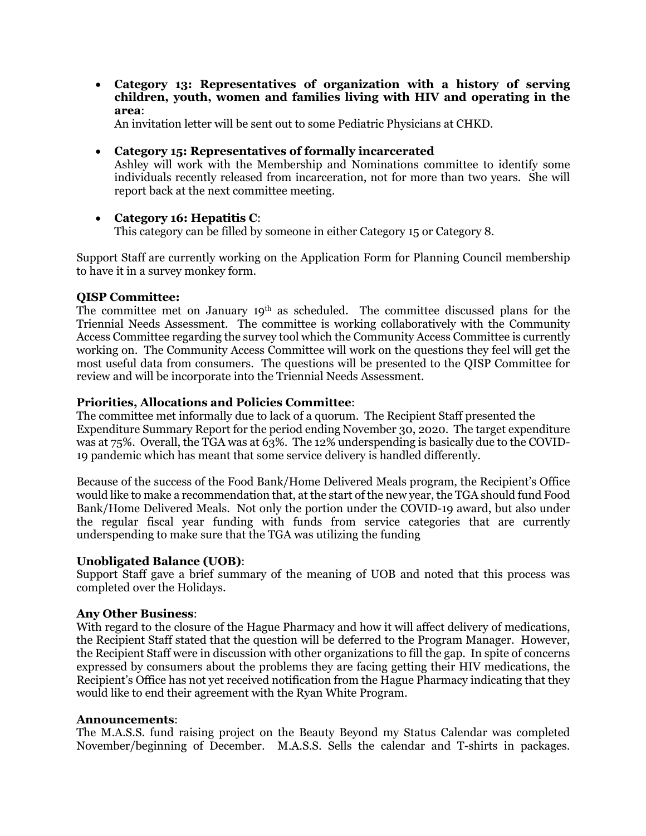• **Category 13: Representatives of organization with a history of serving children, youth, women and families living with HIV and operating in the area**:

An invitation letter will be sent out to some Pediatric Physicians at CHKD.

- **Category 15: Representatives of formally incarcerated** Ashley will work with the Membership and Nominations committee to identify some individuals recently released from incarceration, not for more than two years. She will report back at the next committee meeting.
- **Category 16: Hepatitis C**: This category can be filled by someone in either Category 15 or Category 8.

Support Staff are currently working on the Application Form for Planning Council membership to have it in a survey monkey form.

# **QISP Committee:**

The committee met on January  $19<sup>th</sup>$  as scheduled. The committee discussed plans for the Triennial Needs Assessment. The committee is working collaboratively with the Community Access Committee regarding the survey tool which the Community Access Committee is currently working on. The Community Access Committee will work on the questions they feel will get the most useful data from consumers. The questions will be presented to the QISP Committee for review and will be incorporate into the Triennial Needs Assessment.

# **Priorities, Allocations and Policies Committee**:

The committee met informally due to lack of a quorum. The Recipient Staff presented the Expenditure Summary Report for the period ending November 30, 2020. The target expenditure was at 75%. Overall, the TGA was at 63%. The 12% underspending is basically due to the COVID-19 pandemic which has meant that some service delivery is handled differently.

Because of the success of the Food Bank/Home Delivered Meals program, the Recipient's Office would like to make a recommendation that, at the start of the new year, the TGA should fund Food Bank/Home Delivered Meals. Not only the portion under the COVID-19 award, but also under the regular fiscal year funding with funds from service categories that are currently underspending to make sure that the TGA was utilizing the funding

### **Unobligated Balance (UOB)**:

Support Staff gave a brief summary of the meaning of UOB and noted that this process was completed over the Holidays.

# **Any Other Business**:

With regard to the closure of the Hague Pharmacy and how it will affect delivery of medications, the Recipient Staff stated that the question will be deferred to the Program Manager. However, the Recipient Staff were in discussion with other organizations to fill the gap. In spite of concerns expressed by consumers about the problems they are facing getting their HIV medications, the Recipient's Office has not yet received notification from the Hague Pharmacy indicating that they would like to end their agreement with the Ryan White Program.

### **Announcements**:

The M.A.S.S. fund raising project on the Beauty Beyond my Status Calendar was completed November/beginning of December. M.A.S.S. Sells the calendar and T-shirts in packages.